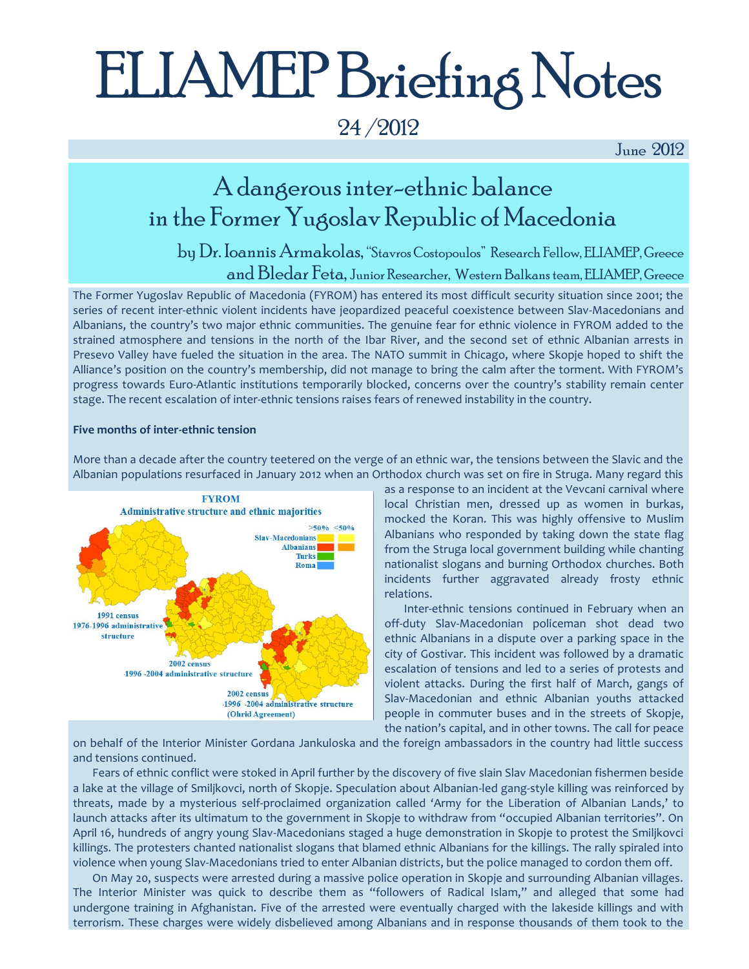# ELIAMEP Briefing Notes

24 /2012

June 2012

### A dangerous inter-ethnic balance in the Former Yugoslav Republic of Macedonia

by Dr. Ioannis Armakolas, "Stavros Costopoulos" Research Fellow, ELIAMEP, Greece and Bledar Feta, Junior Researcher, Western Balkans team, ELIAMEP, Greece

The Former Yugoslav Republic of Macedonia (FYROM) has entered its most difficult security situation since 2001; the series of recent inter-ethnic violent incidents have jeopardized peaceful coexistence between Slav-Macedonians and Albanians, the country's two major ethnic communities. The genuine fear for ethnic violence in FYROM added to the strained atmosphere and tensions in the north of the Ibar River, and the second set of ethnic Albanian arrests in Presevo Valley have fueled the situation in the area. The NATO summit in Chicago, where Skopje hoped to shift the Alliance's position on the country's membership, did not manage to bring the calm after the torment. With FYROM's progress towards Euro-Atlantic institutions temporarily blocked, concerns over the country's stability remain center stage. The recent escalation of inter-ethnic tensions raises fears of renewed instability in the country.

#### **Five months of inter-ethnic tension**



More than a decade after the country teetered on the verge of an ethnic war, the tensions between the Slavic and the Albanian populations resurfaced in January 2012 when an Orthodox church was set on fire in Struga. Many regard this

> as a response to an incident at the Vevcani carnival where local Christian men, dressed up as women in burkas, mocked the Koran. This was highly offensive to Muslim Albanians who responded by taking down the state flag from the Struga local government building while chanting nationalist slogans and burning Orthodox churches. Both incidents further aggravated already frosty ethnic relations.

> Inter-ethnic tensions continued in February when an off-duty Slav-Macedonian policeman shot dead two ethnic Albanians in a dispute over a parking space in the city of Gostivar. This incident was followed by a dramatic escalation of tensions and led to a series of protests and violent attacks. During the first half of March, gangs of Slav-Macedonian and ethnic Albanian youths attacked people in commuter buses and in the streets of Skopje, the nation's capital, and in other towns. The call for peace

on behalf of the Interior Minister Gordana Jankuloska and the foreign ambassadors in the country had little success and tensions continued.

Fears of ethnic conflict were stoked in April further by the discovery of five slain Slav Macedonian fishermen beside a lake at the village of Smiljkovci, north of Skopje. Speculation about Albanian-led gang-style killing was reinforced by threats, made by a mysterious self-proclaimed organization called 'Army for the Liberation of Albanian Lands,' to launch attacks after its ultimatum to the government in Skopje to withdraw from "occupied Albanian territories". On April 16, hundreds of angry young Slav-Macedonians staged a huge demonstration in Skopje to protest the Smiljkovci killings. The protesters chanted nationalist slogans that blamed ethnic Albanians for the killings. The rally spiraled into violence when young Slav-Macedonians tried to enter Albanian districts, but the police managed to cordon them off.

On May 20, suspects were arrested during a massive police operation in Skopje and surrounding Albanian villages. The Interior Minister was quick to describe them as "followers of Radical Islam," and alleged that some had undergone training in Afghanistan. Five of the arrested were eventually charged with the lakeside killings and with terrorism. These charges were widely disbelieved among Albanians and in response thousands of them took to the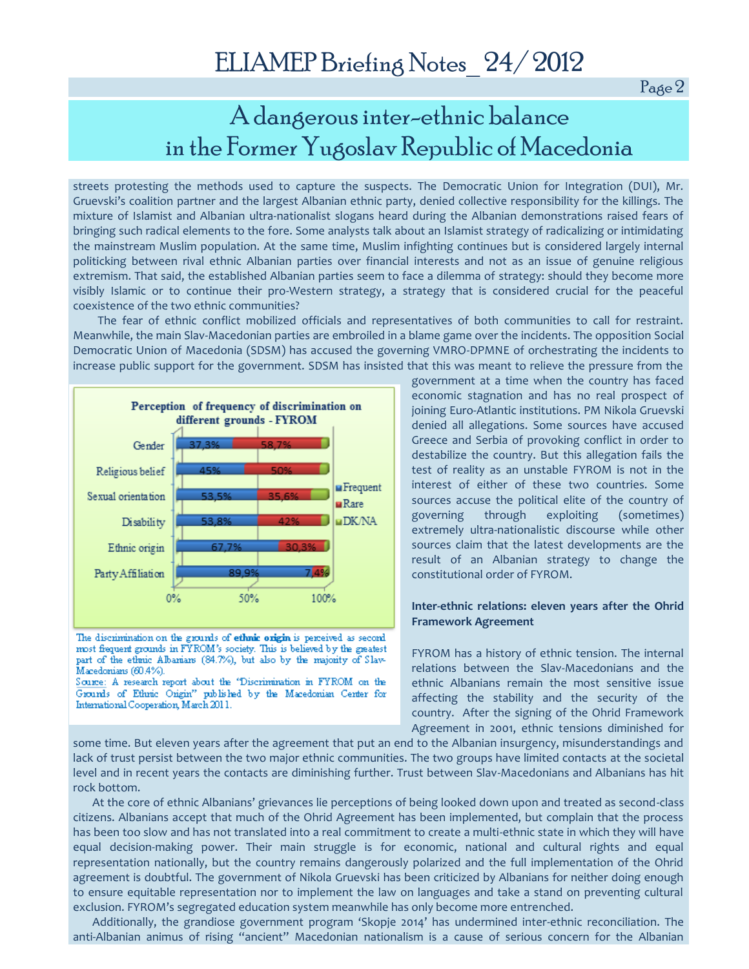Page 2

### A dangerous inter-ethnic balance in the Former Yugoslav Republic of Macedonia

streets protesting the methods used to capture the suspects. The Democratic Union for Integration (DUI), Mr. Gruevski's coalition partner and the largest Albanian ethnic party, denied collective responsibility for the killings. The mixture of Islamist and Albanian ultra-nationalist slogans heard during the Albanian demonstrations raised fears of bringing such radical elements to the fore. Some analysts talk about an Islamist strategy of radicalizing or intimidating the mainstream Muslim population. At the same time, Muslim infighting continues but is considered largely internal politicking between rival ethnic Albanian parties over financial interests and not as an issue of genuine religious extremism. That said, the established Albanian parties seem to face a dilemma of strategy: should they become more visibly Islamic or to continue their pro-Western strategy, a strategy that is considered crucial for the peaceful coexistence of the two ethnic communities?

 The fear of ethnic conflict mobilized officials and representatives of both communities to call for restraint. Meanwhile, the main Slav-Macedonian parties are embroiled in a blame game over the incidents. The opposition Social Democratic Union of Macedonia (SDSM) has accused the governing VMRO-DPMNE of orchestrating the incidents to increase public support for the government. SDSM has insisted that this was meant to relieve the pressure from the



The discrimination on the grounds of ethnic origin is perceived as second most frequent grounds in FYROM's society. This is believed by the greatest part of the ethnic Albanians (84.7%), but also by the majority of Slav-Macedonians (60.4%).

Source: A research report about the 'Discrimination in FYROM on the Grounds of Ethnic Origin" published by the Macedonian Center for International Cooperation, March 2011.

government at a time when the country has faced economic stagnation and has no real prospect of joining Euro-Atlantic institutions. PM Nikola Gruevski denied all allegations. Some sources have accused Greece and Serbia of provoking conflict in order to destabilize the country. But this allegation fails the test of reality as an unstable FYROM is not in the interest of either of these two countries. Some sources accuse the political elite of the country of governing through exploiting (sometimes) extremely ultra-nationalistic discourse while other sources claim that the latest developments are the result of an Albanian strategy to change the constitutional order of FYROM.

### **Inter-ethnic relations: eleven years after the Ohrid Framework Agreement**

FYROM has a history of ethnic tension. The internal relations between the Slav-Macedonians and the ethnic Albanians remain the most sensitive issue affecting the stability and the security of the country. After the signing of the Ohrid Framework Agreement in 2001, ethnic tensions diminished for

some time. But eleven years after the agreement that put an end to the Albanian insurgency, misunderstandings and lack of trust persist between the two major ethnic communities. The two groups have limited contacts at the societal level and in recent years the contacts are diminishing further. Trust between Slav-Macedonians and Albanians has hit rock bottom.

At the core of ethnic Albanians' grievances lie perceptions of being looked down upon and treated as second-class citizens. Albanians accept that much of the Ohrid Agreement has been implemented, but complain that the process has been too slow and has not translated into a real commitment to create a multi-ethnic state in which they will have equal decision-making power. Their main struggle is for economic, national and cultural rights and equal representation nationally, but the country remains dangerously polarized and the full implementation of the Ohrid agreement is doubtful. The government of Nikola Gruevski has been criticized by Albanians for neither doing enough to ensure equitable representation nor to implement the law on languages and take a stand on preventing cultural exclusion. FYROM's segregated education system meanwhile has only become more entrenched.

Additionally, the grandiose government program 'Skopje 2014' has undermined inter-ethnic reconciliation. The anti-Albanian animus of rising "ancient" Macedonian nationalism is a cause of serious concern for the Albanian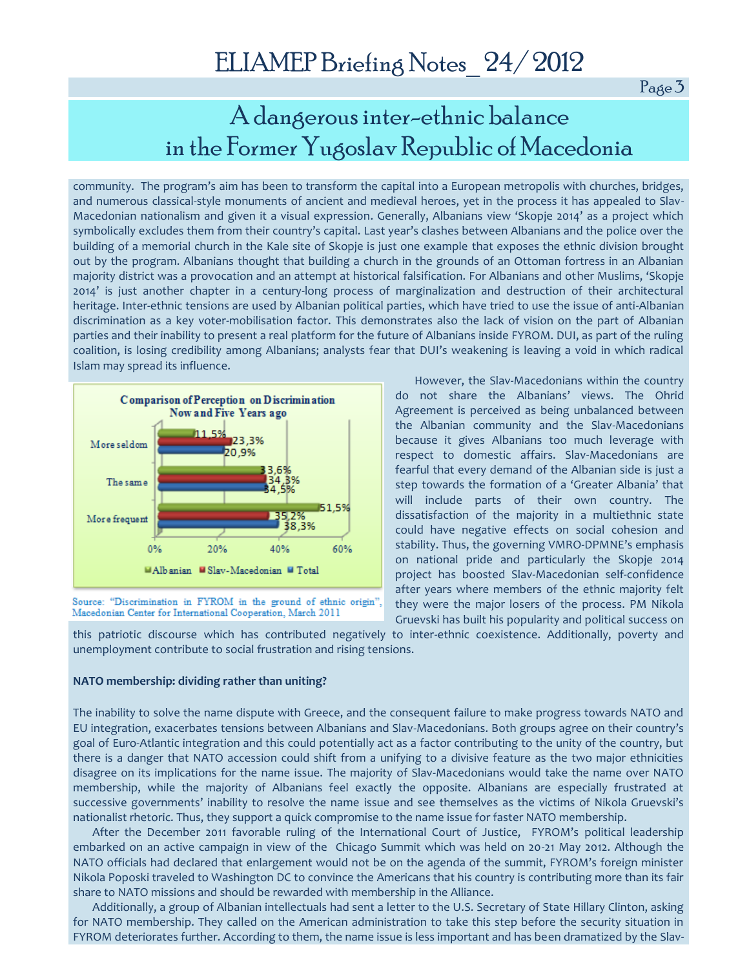Page 3

## A dangerous inter-ethnic balance in the Former Yugoslav Republic of Macedonia

community. The program's aim has been to transform the capital into a European metropolis with churches, bridges, and numerous classical-style monuments of ancient and medieval heroes, yet in the process it has appealed to Slav-Macedonian nationalism and given it a visual expression. Generally, Albanians view 'Skopje 2014' as a project which symbolically excludes them from their country's capital. Last year's clashes between Albanians and the police over the building of a memorial church in the Kale site of Skopje is just one example that exposes the ethnic division brought out by the program. Albanians thought that building a church in the grounds of an Ottoman fortress in an Albanian majority district was a provocation and an attempt at historical falsification. For Albanians and other Muslims, 'Skopje 2014' is just another chapter in a century-long process of marginalization and destruction of their architectural heritage. Inter-ethnic tensions are used by Albanian political parties, which have tried to use the issue of anti-Albanian discrimination as a key voter-mobilisation factor. This demonstrates also the lack of vision on the part of Albanian parties and their inability to present a real platform for the future of Albanians inside FYROM. DUI, as part of the ruling coalition, is losing credibility among Albanians; analysts fear that DUI's weakening is leaving a void in which radical Islam may spread its influence.



Source: "Discrimination in FYROM in the ground of ethnic origin", Macedonian Center for International Cooperation, March 2011

However, the Slav-Macedonians within the country do not share the Albanians' views. The Ohrid Agreement is perceived as being unbalanced between the Albanian community and the Slav-Macedonians because it gives Albanians too much leverage with respect to domestic affairs. Slav-Macedonians are fearful that every demand of the Albanian side is just a step towards the formation of a 'Greater Albania' that will include parts of their own country. The dissatisfaction of the majority in a multiethnic state could have negative effects on social cohesion and stability. Thus, the governing VMRO-DPMNE's emphasis on national pride and particularly the Skopje 2014 project has boosted Slav-Macedonian self-confidence after years where members of the ethnic majority felt they were the major losers of the process. PM Nikola Gruevski has built his popularity and political success on

this patriotic discourse which has contributed negatively to inter-ethnic coexistence. Additionally, poverty and unemployment contribute to social frustration and rising tensions.

#### **NATO membership: dividing rather than uniting?**

The inability to solve the name dispute with Greece, and the consequent failure to make progress towards NATO and EU integration, exacerbates tensions between Albanians and Slav-Macedonians. Both groups agree on their country's goal of Euro-Atlantic integration and this could potentially act as a factor contributing to the unity of the country, but there is a danger that NATO accession could shift from a unifying to a divisive feature as the two major ethnicities disagree on its implications for the name issue. The majority of Slav-Macedonians would take the name over NATO membership, while the majority of Albanians feel exactly the opposite. Albanians are especially frustrated at successive governments' inability to resolve the name issue and see themselves as the victims of Nikola Gruevski's nationalist rhetoric. Thus, they support a quick compromise to the name issue for faster NATO membership.

After the December 2011 favorable ruling of the International Court of Justice, FYROM's political leadership embarked on an active campaign in view of the Chicago Summit which was held on 20-21 May 2012. Although the NATO officials had declared that enlargement would not be on the agenda of the summit, FYROM's foreign minister Nikola Poposki traveled to Washington DC to convince the Americans that his country is contributing more than its fair share to NATO missions and should be rewarded with membership in the Alliance.

Additionally, a group of Albanian intellectuals had sent a letter to the U.S. Secretary of State Hillary Clinton, asking for NATO membership. They called on the American administration to take this step before the security situation in FYROM deteriorates further. According to them, the name issue is less important and has been dramatized by the Slav-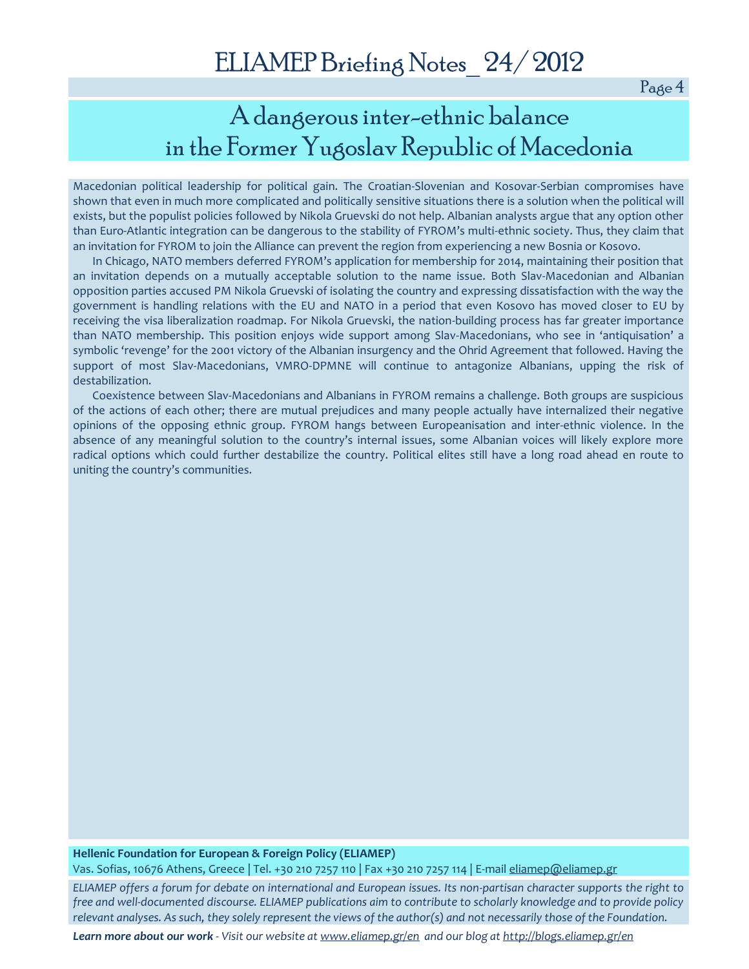Page 4

### A dangerous inter-ethnic balance in the Former Yugoslav Republic of Macedonia

Macedonian political leadership for political gain. The Croatian-Slovenian and Kosovar-Serbian compromises have shown that even in much more complicated and politically sensitive situations there is a solution when the political will exists, but the populist policies followed by Nikola Gruevski do not help. Albanian analysts argue that any option other than Euro-Atlantic integration can be dangerous to the stability of FYROM's multi-ethnic society. Thus, they claim that an invitation for FYROM to join the Alliance can prevent the region from experiencing a new Bosnia or Kosovo.

In Chicago, NATO members deferred FYROM's application for membership for 2014, maintaining their position that an invitation depends on a mutually acceptable solution to the name issue. Both Slav-Macedonian and Albanian opposition parties accused PM Nikola Gruevski of isolating the country and expressing dissatisfaction with the way the government is handling relations with the EU and NATO in a period that even Kosovo has moved closer to EU by receiving the visa liberalization roadmap. For Nikola Gruevski, the nation-building process has far greater importance than NATO membership. This position enjoys wide support among Slav-Macedonians, who see in 'antiquisation' a symbolic 'revenge' for the 2001 victory of the Albanian insurgency and the Ohrid Agreement that followed. Having the support of most Slav-Macedonians, VMRO-DPMNE will continue to antagonize Albanians, upping the risk of destabilization.

Coexistence between Slav-Macedonians and Albanians in FYROM remains a challenge. Both groups are suspicious of the actions of each other; there are mutual prejudices and many people actually have internalized their negative opinions of the opposing ethnic group. FYROM hangs between Europeanisation and inter-ethnic violence. In the absence of any meaningful solution to the country's internal issues, some Albanian voices will likely explore more radical options which could further destabilize the country. Political elites still have a long road ahead en route to uniting the country's communities.

### **Hellenic Foundation for European & Foreign Policy (ELIAMEP)**

Vas. Sofias, 10676 Athens, Greece | Tel. +30 210 7257 110 | Fax +30 210 7257 114 | E-mai[l eliamep@eliamep.gr](mailto:eliamep@eliamep.gr) 

*ELIAMEP offers a forum for debate on international and European issues. Its non-partisan character supports the right to free and well-documented discourse. ELIAMEP publications aim to contribute to scholarly knowledge and to provide policy relevant analyses. As such, they solely represent the views of the author(s) and not necessarily those of the Foundation.*

*Learn more about our work - Visit our website at [www.eliamep.gr/en](http://www.eliamep.gr/en) and our blog a[t http://blogs.eliamep.gr/en](http://blogs.eliamep.gr/en)*